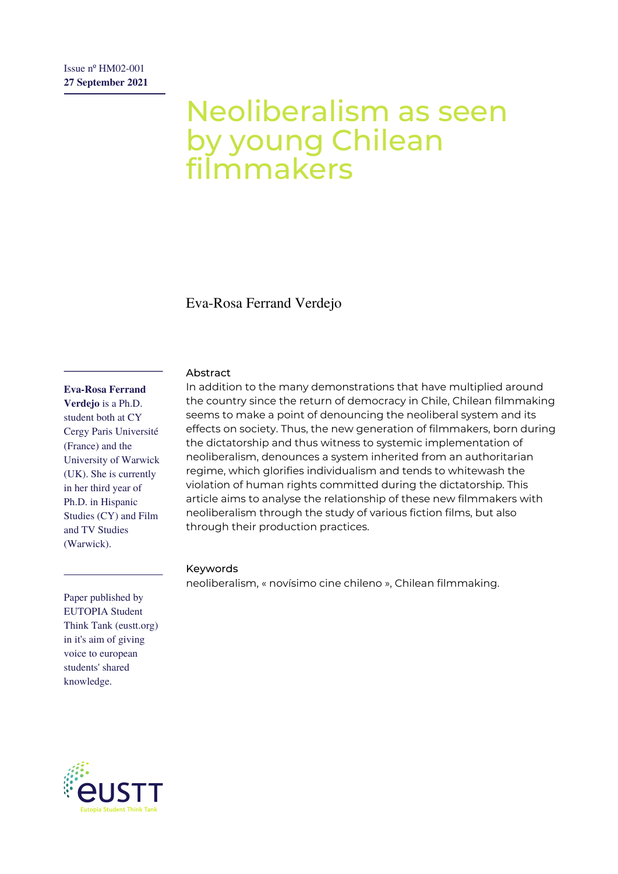# Neoliberalism as seen by young Chilean filmmakers

Eva-Rosa Ferrand Verdejo

#### **Eva-Rosa Ferrand**

**Verdejo** is a Ph.D. student both at CY Cergy Paris Université (France) and the University of Warwick (UK). She is currently in her third year of Ph.D. in Hispanic Studies (CY) and Film and TV Studies (Warwick).

### Abstract

In addition to the many demonstrations that have multiplied around the country since the return of democracy in Chile, Chilean filmmaking seems to make a point of denouncing the neoliberal system and its effects on society. Thus, the new generation of filmmakers, born during the dictatorship and thus witness to systemic implementation of neoliberalism, denounces a system inherited from an authoritarian regime, which glorifies individualism and tends to whitewash the violation of human rights committed during the dictatorship. This article aims to analyse the relationship of these new filmmakers with neoliberalism through the study of various fiction films, but also through their production practices.

#### Keywords

neoliberalism, « novísimo cine chileno », Chilean filmmaking.

Paper published by EUTOPIA Student Think Tank (eustt.org) in it's aim of giving voice to european students' shared knowledge.

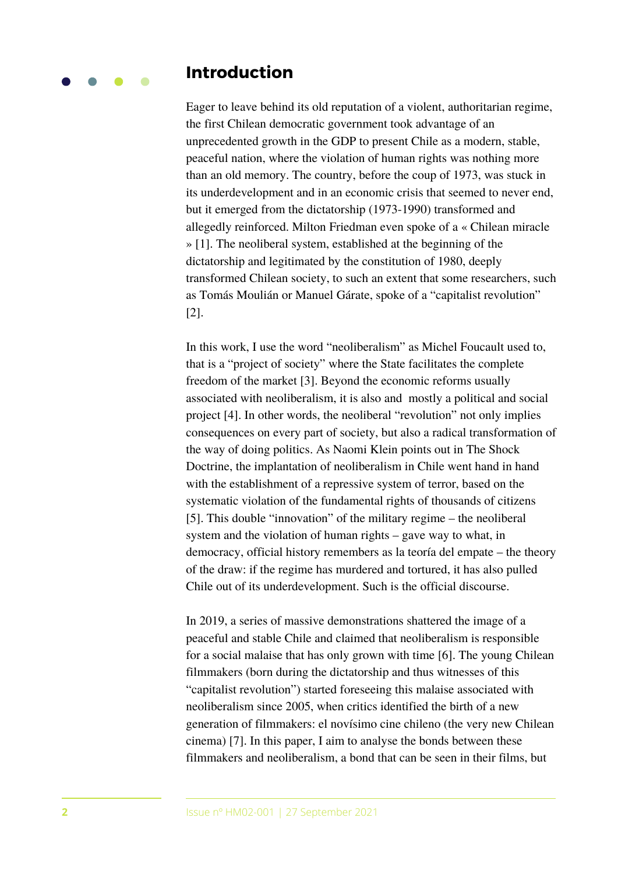### **Introduction**

Eager to leave behind its old reputation of a violent, authoritarian regime, the first Chilean democratic government took advantage of an unprecedented growth in the GDP to present Chile as a modern, stable, peaceful nation, where the violation of human rights was nothing more than an old memory. The country, before the coup of 1973, was stuck in its underdevelopment and in an economic crisis that seemed to never end, but it emerged from the dictatorship (1973-1990) transformed and allegedly reinforced. Milton Friedman even spoke of a « Chilean miracle » [1]. The neoliberal system, established at the beginning of the dictatorship and legitimated by the constitution of 1980, deeply transformed Chilean society, to such an extent that some researchers, such as Tomás Moulián or Manuel Gárate, spoke of a "capitalist revolution" [2].

In this work, I use the word "neoliberalism" as Michel Foucault used to, that is a "project of society" where the State facilitates the complete freedom of the market [3]. Beyond the economic reforms usually associated with neoliberalism, it is also and mostly a political and social project [4]. In other words, the neoliberal "revolution" not only implies consequences on every part of society, but also a radical transformation of the way of doing politics. As Naomi Klein points out in The Shock Doctrine, the implantation of neoliberalism in Chile went hand in hand with the establishment of a repressive system of terror, based on the systematic violation of the fundamental rights of thousands of citizens [5]. This double "innovation" of the military regime – the neoliberal system and the violation of human rights – gave way to what, in democracy, official history remembers as la teoría del empate – the theory of the draw: if the regime has murdered and tortured, it has also pulled Chile out of its underdevelopment. Such is the official discourse.

In 2019, a series of massive demonstrations shattered the image of a peaceful and stable Chile and claimed that neoliberalism is responsible for a social malaise that has only grown with time [6]. The young Chilean filmmakers (born during the dictatorship and thus witnesses of this "capitalist revolution") started foreseeing this malaise associated with neoliberalism since 2005, when critics identified the birth of a new generation of filmmakers: el novísimo cine chileno (the very new Chilean cinema) [7]. In this paper, I aim to analyse the bonds between these filmmakers and neoliberalism, a bond that can be seen in their films, but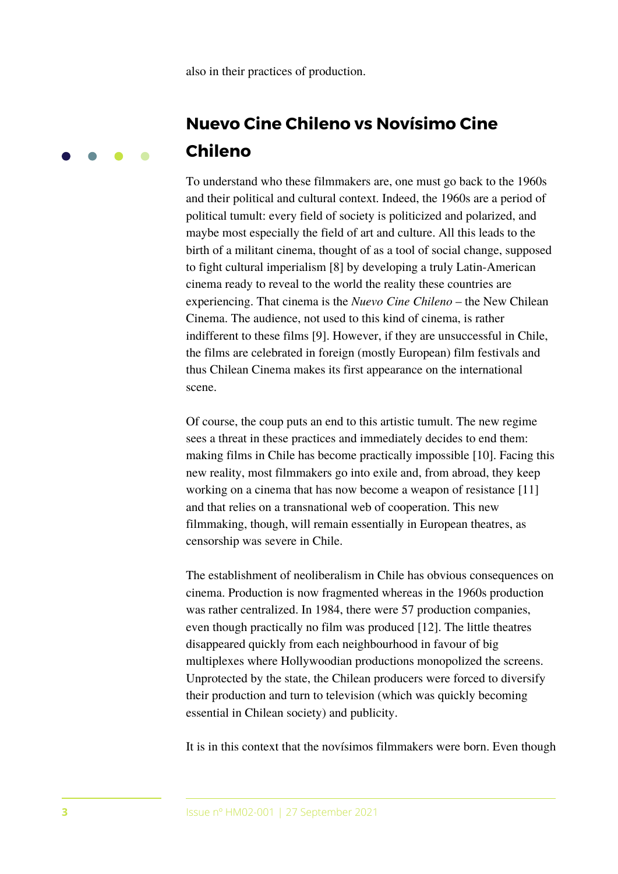also in their practices of production.

# **Nuevo Cine Chileno vs Novísimo Cine Chileno**

To understand who these filmmakers are, one must go back to the 1960s and their political and cultural context. Indeed, the 1960s are a period of political tumult: every field of society is politicized and polarized, and maybe most especially the field of art and culture. All this leads to the birth of a militant cinema, thought of as a tool of social change, supposed to fight cultural imperialism [8] by developing a truly Latin-American cinema ready to reveal to the world the reality these countries are experiencing. That cinema is the *Nuevo Cine Chileno* – the New Chilean Cinema. The audience, not used to this kind of cinema, is rather indifferent to these films [9]. However, if they are unsuccessful in Chile, the films are celebrated in foreign (mostly European) film festivals and thus Chilean Cinema makes its first appearance on the international scene.

Of course, the coup puts an end to this artistic tumult. The new regime sees a threat in these practices and immediately decides to end them: making films in Chile has become practically impossible [10]. Facing this new reality, most filmmakers go into exile and, from abroad, they keep working on a cinema that has now become a weapon of resistance [11] and that relies on a transnational web of cooperation. This new filmmaking, though, will remain essentially in European theatres, as censorship was severe in Chile.

The establishment of neoliberalism in Chile has obvious consequences on cinema. Production is now fragmented whereas in the 1960s production was rather centralized. In 1984, there were 57 production companies, even though practically no film was produced [12]. The little theatres disappeared quickly from each neighbourhood in favour of big multiplexes where Hollywoodian productions monopolized the screens. Unprotected by the state, the Chilean producers were forced to diversify their production and turn to television (which was quickly becoming essential in Chilean society) and publicity.

It is in this context that the novísimos filmmakers were born. Even though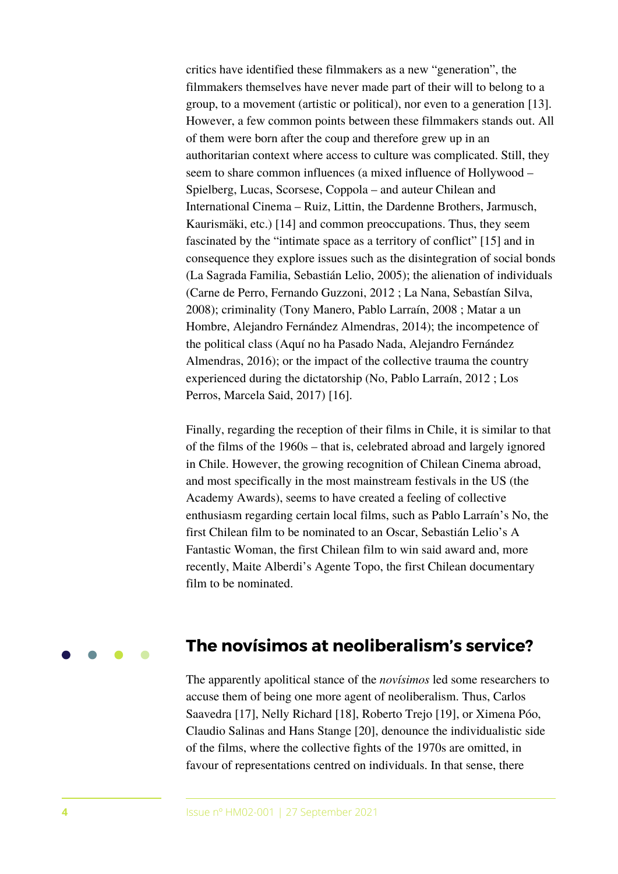critics have identified these filmmakers as a new "generation", the filmmakers themselves have never made part of their will to belong to a group, to a movement (artistic or political), nor even to a generation [13]. However, a few common points between these filmmakers stands out. All of them were born after the coup and therefore grew up in an authoritarian context where access to culture was complicated. Still, they seem to share common influences (a mixed influence of Hollywood – Spielberg, Lucas, Scorsese, Coppola – and auteur Chilean and International Cinema – Ruiz, Littin, the Dardenne Brothers, Jarmusch, Kaurismäki, etc.) [14] and common preoccupations. Thus, they seem fascinated by the "intimate space as a territory of conflict" [15] and in consequence they explore issues such as the disintegration of social bonds (La Sagrada Familia, Sebastián Lelio, 2005); the alienation of individuals (Carne de Perro, Fernando Guzzoni, 2012 ; La Nana, Sebastían Silva, 2008); criminality (Tony Manero, Pablo Larraín, 2008 ; Matar a un Hombre, Alejandro Fernández Almendras, 2014); the incompetence of the political class (Aquí no ha Pasado Nada, Alejandro Fernández Almendras, 2016); or the impact of the collective trauma the country experienced during the dictatorship (No, Pablo Larraín, 2012 ; Los Perros, Marcela Said, 2017) [16].

Finally, regarding the reception of their films in Chile, it is similar to that of the films of the 1960s – that is, celebrated abroad and largely ignored in Chile. However, the growing recognition of Chilean Cinema abroad, and most specifically in the most mainstream festivals in the US (the Academy Awards), seems to have created a feeling of collective enthusiasm regarding certain local films, such as Pablo Larraín's No, the first Chilean film to be nominated to an Oscar, Sebastián Lelio's A Fantastic Woman, the first Chilean film to win said award and, more recently, Maite Alberdi's Agente Topo, the first Chilean documentary film to be nominated.

## **The novísimos at neoliberalism's service?**

The apparently apolitical stance of the *novísimos* led some researchers to accuse them of being one more agent of neoliberalism. Thus, Carlos Saavedra [17], Nelly Richard [18], Roberto Trejo [19], or Ximena Póo, Claudio Salinas and Hans Stange [20], denounce the individualistic side of the films, where the collective fights of the 1970s are omitted, in favour of representations centred on individuals. In that sense, there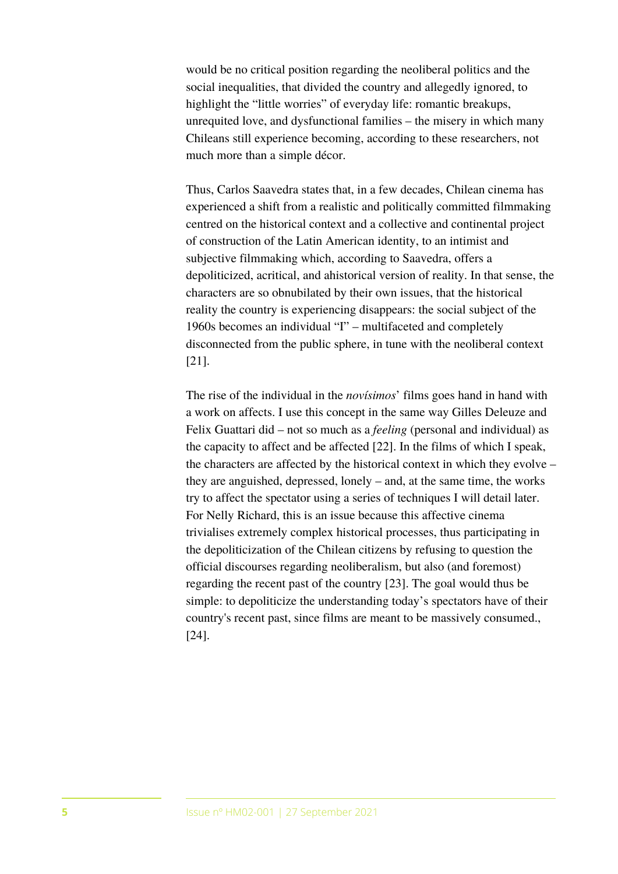would be no critical position regarding the neoliberal politics and the social inequalities, that divided the country and allegedly ignored, to highlight the "little worries" of everyday life: romantic breakups, unrequited love, and dysfunctional families – the misery in which many Chileans still experience becoming, according to these researchers, not much more than a simple décor.

Thus, Carlos Saavedra states that, in a few decades, Chilean cinema has experienced a shift from a realistic and politically committed filmmaking centred on the historical context and a collective and continental project of construction of the Latin American identity, to an intimist and subjective filmmaking which, according to Saavedra, offers a depoliticized, acritical, and ahistorical version of reality. In that sense, the characters are so obnubilated by their own issues, that the historical reality the country is experiencing disappears: the social subject of the 1960s becomes an individual "I" – multifaceted and completely disconnected from the public sphere, in tune with the neoliberal context [21].

The rise of the individual in the *novísimos*' films goes hand in hand with a work on affects. I use this concept in the same way Gilles Deleuze and Felix Guattari did – not so much as a *feeling* (personal and individual) as the capacity to affect and be affected [22]. In the films of which I speak, the characters are affected by the historical context in which they evolve – they are anguished, depressed, lonely – and, at the same time, the works try to affect the spectator using a series of techniques I will detail later. For Nelly Richard, this is an issue because this affective cinema trivialises extremely complex historical processes, thus participating in the depoliticization of the Chilean citizens by refusing to question the official discourses regarding neoliberalism, but also (and foremost) regarding the recent past of the country [23]. The goal would thus be simple: to depoliticize the understanding today's spectators have of their country's recent past, since films are meant to be massively consumed., [24].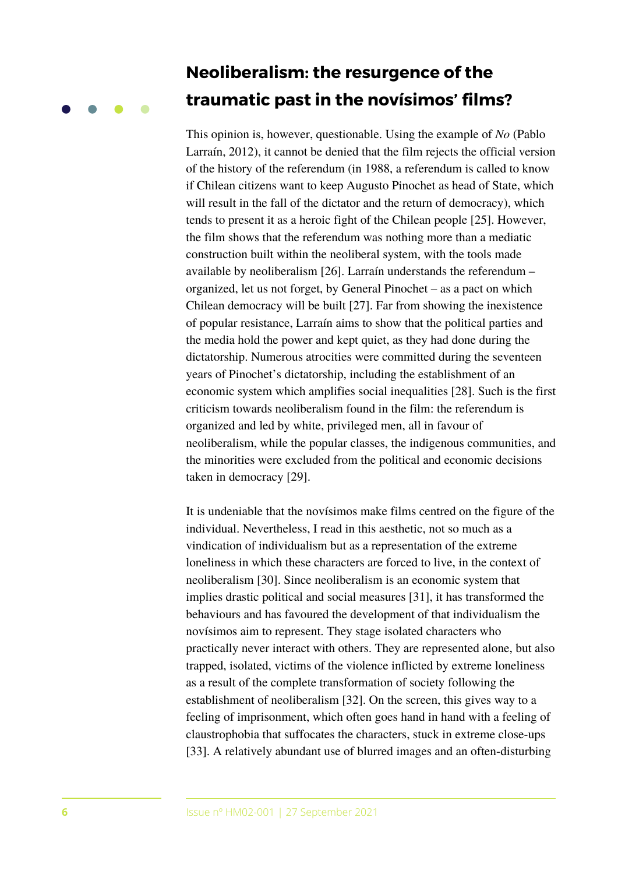# **Neoliberalism: the resurgence of the traumatic past in the novísimos' films?**

This opinion is, however, questionable. Using the example of *No* (Pablo Larraín, 2012), it cannot be denied that the film rejects the official version of the history of the referendum (in 1988, a referendum is called to know if Chilean citizens want to keep Augusto Pinochet as head of State, which will result in the fall of the dictator and the return of democracy), which tends to present it as a heroic fight of the Chilean people [25]. However, the film shows that the referendum was nothing more than a mediatic construction built within the neoliberal system, with the tools made available by neoliberalism [26]. Larraín understands the referendum – organized, let us not forget, by General Pinochet – as a pact on which Chilean democracy will be built [27]. Far from showing the inexistence of popular resistance, Larraín aims to show that the political parties and the media hold the power and kept quiet, as they had done during the dictatorship. Numerous atrocities were committed during the seventeen years of Pinochet's dictatorship, including the establishment of an economic system which amplifies social inequalities [28]. Such is the first criticism towards neoliberalism found in the film: the referendum is organized and led by white, privileged men, all in favour of neoliberalism, while the popular classes, the indigenous communities, and the minorities were excluded from the political and economic decisions taken in democracy [29].

It is undeniable that the novísimos make films centred on the figure of the individual. Nevertheless, I read in this aesthetic, not so much as a vindication of individualism but as a representation of the extreme loneliness in which these characters are forced to live, in the context of neoliberalism [30]. Since neoliberalism is an economic system that implies drastic political and social measures [31], it has transformed the behaviours and has favoured the development of that individualism the novísimos aim to represent. They stage isolated characters who practically never interact with others. They are represented alone, but also trapped, isolated, victims of the violence inflicted by extreme loneliness as a result of the complete transformation of society following the establishment of neoliberalism [32]. On the screen, this gives way to a feeling of imprisonment, which often goes hand in hand with a feeling of claustrophobia that suffocates the characters, stuck in extreme close-ups [33]. A relatively abundant use of blurred images and an often-disturbing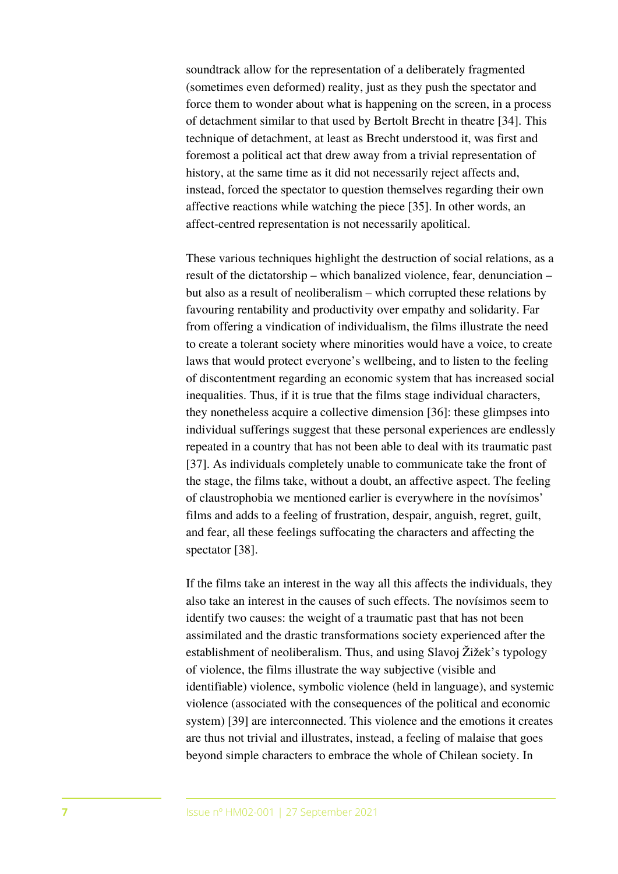soundtrack allow for the representation of a deliberately fragmented (sometimes even deformed) reality, just as they push the spectator and force them to wonder about what is happening on the screen, in a process of detachment similar to that used by Bertolt Brecht in theatre [34]. This technique of detachment, at least as Brecht understood it, was first and foremost a political act that drew away from a trivial representation of history, at the same time as it did not necessarily reject affects and, instead, forced the spectator to question themselves regarding their own affective reactions while watching the piece [35]. In other words, an affect-centred representation is not necessarily apolitical.

These various techniques highlight the destruction of social relations, as a result of the dictatorship – which banalized violence, fear, denunciation – but also as a result of neoliberalism – which corrupted these relations by favouring rentability and productivity over empathy and solidarity. Far from offering a vindication of individualism, the films illustrate the need to create a tolerant society where minorities would have a voice, to create laws that would protect everyone's wellbeing, and to listen to the feeling of discontentment regarding an economic system that has increased social inequalities. Thus, if it is true that the films stage individual characters, they nonetheless acquire a collective dimension [36]: these glimpses into individual sufferings suggest that these personal experiences are endlessly repeated in a country that has not been able to deal with its traumatic past [37]. As individuals completely unable to communicate take the front of the stage, the films take, without a doubt, an affective aspect. The feeling of claustrophobia we mentioned earlier is everywhere in the novísimos' films and adds to a feeling of frustration, despair, anguish, regret, guilt, and fear, all these feelings suffocating the characters and affecting the spectator [38].

If the films take an interest in the way all this affects the individuals, they also take an interest in the causes of such effects. The novísimos seem to identify two causes: the weight of a traumatic past that has not been assimilated and the drastic transformations society experienced after the establishment of neoliberalism. Thus, and using Slavoj Žižek's typology of violence, the films illustrate the way subjective (visible and identifiable) violence, symbolic violence (held in language), and systemic violence (associated with the consequences of the political and economic system) [39] are interconnected. This violence and the emotions it creates are thus not trivial and illustrates, instead, a feeling of malaise that goes beyond simple characters to embrace the whole of Chilean society. In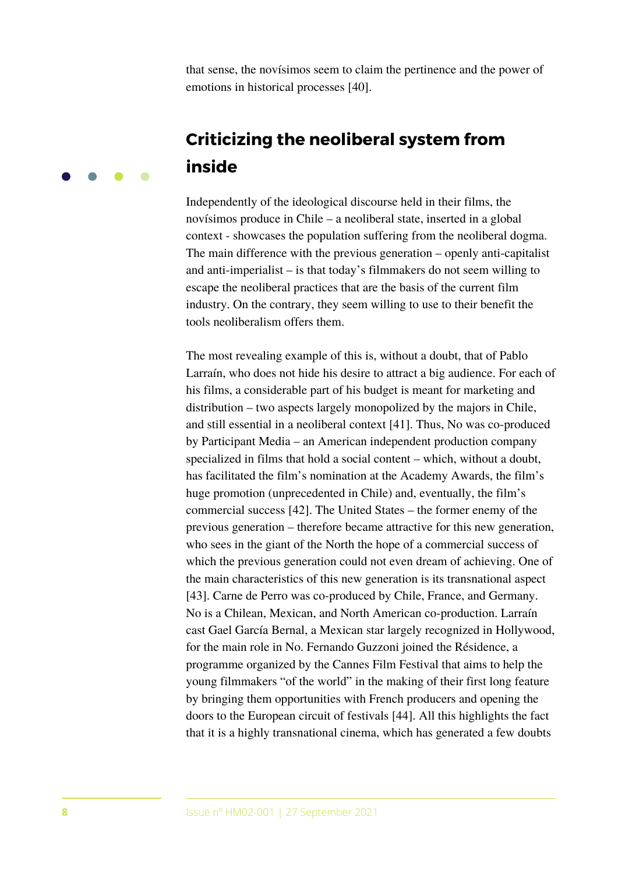that sense, the novísimos seem to claim the pertinence and the power of emotions in historical processes [40].

# **Criticizing the neoliberal system from inside**

Independently of the ideological discourse held in their films, the novísimos produce in Chile – a neoliberal state, inserted in a global context - showcases the population suffering from the neoliberal dogma. The main difference with the previous generation – openly anti-capitalist and anti-imperialist – is that today's filmmakers do not seem willing to escape the neoliberal practices that are the basis of the current film industry. On the contrary, they seem willing to use to their benefit the tools neoliberalism offers them.

The most revealing example of this is, without a doubt, that of Pablo Larraín, who does not hide his desire to attract a big audience. For each of his films, a considerable part of his budget is meant for marketing and distribution – two aspects largely monopolized by the majors in Chile, and still essential in a neoliberal context [41]. Thus, No was co-produced by Participant Media – an American independent production company specialized in films that hold a social content – which, without a doubt, has facilitated the film's nomination at the Academy Awards, the film's huge promotion (unprecedented in Chile) and, eventually, the film's commercial success [42]. The United States – the former enemy of the previous generation – therefore became attractive for this new generation, who sees in the giant of the North the hope of a commercial success of which the previous generation could not even dream of achieving. One of the main characteristics of this new generation is its transnational aspect [43]. Carne de Perro was co-produced by Chile, France, and Germany. No is a Chilean, Mexican, and North American co-production. Larraín cast Gael García Bernal, a Mexican star largely recognized in Hollywood, for the main role in No. Fernando Guzzoni joined the Résidence, a programme organized by the Cannes Film Festival that aims to help the young filmmakers "of the world" in the making of their first long feature by bringing them opportunities with French producers and opening the doors to the European circuit of festivals [44]. All this highlights the fact that it is a highly transnational cinema, which has generated a few doubts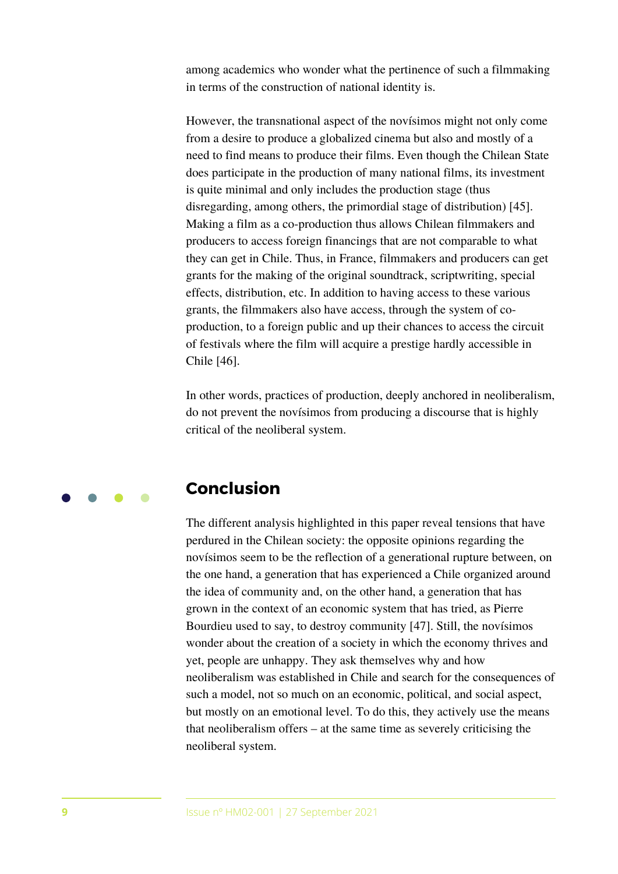among academics who wonder what the pertinence of such a filmmaking in terms of the construction of national identity is.

However, the transnational aspect of the novísimos might not only come from a desire to produce a globalized cinema but also and mostly of a need to find means to produce their films. Even though the Chilean State does participate in the production of many national films, its investment is quite minimal and only includes the production stage (thus disregarding, among others, the primordial stage of distribution) [45]. Making a film as a co-production thus allows Chilean filmmakers and producers to access foreign financings that are not comparable to what they can get in Chile. Thus, in France, filmmakers and producers can get grants for the making of the original soundtrack, scriptwriting, special effects, distribution, etc. In addition to having access to these various grants, the filmmakers also have access, through the system of coproduction, to a foreign public and up their chances to access the circuit of festivals where the film will acquire a prestige hardly accessible in Chile [46].

In other words, practices of production, deeply anchored in neoliberalism, do not prevent the novísimos from producing a discourse that is highly critical of the neoliberal system.

## **Conclusion**

The different analysis highlighted in this paper reveal tensions that have perdured in the Chilean society: the opposite opinions regarding the novísimos seem to be the reflection of a generational rupture between, on the one hand, a generation that has experienced a Chile organized around the idea of community and, on the other hand, a generation that has grown in the context of an economic system that has tried, as Pierre Bourdieu used to say, to destroy community [47]. Still, the novísimos wonder about the creation of a society in which the economy thrives and yet, people are unhappy. They ask themselves why and how neoliberalism was established in Chile and search for the consequences of such a model, not so much on an economic, political, and social aspect, but mostly on an emotional level. To do this, they actively use the means that neoliberalism offers – at the same time as severely criticising the neoliberal system.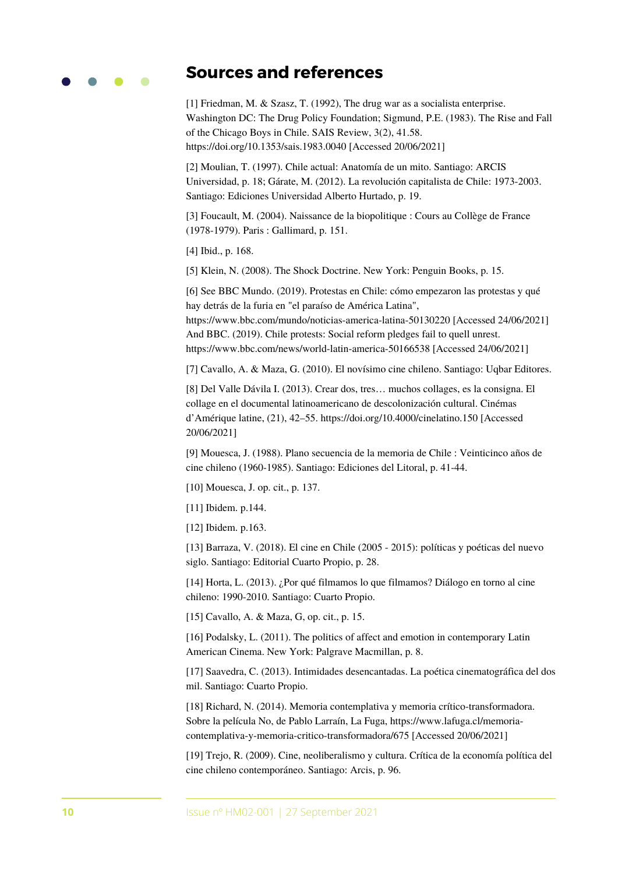

## **Sources and references**

[1] Friedman, M. & Szasz, T. (1992), The drug war as a socialista enterprise. Washington DC: The Drug Policy Foundation; Sigmund, P.E. (1983). The Rise and Fall of the Chicago Boys in Chile. SAIS Review, 3(2), 41.58. <https://doi.org/10.1353/sais.1983.0040>[Accessed 20/06/2021]

[2] Moulian, T. (1997). Chile actual: Anatomía de un mito. Santiago: ARCIS Universidad, p. 18; Gárate, M. (2012). La revolución capitalista de Chile: 1973-2003. Santiago: Ediciones Universidad Alberto Hurtado, p. 19.

[3] Foucault, M. (2004). Naissance de la biopolitique : Cours au Collège de France (1978-1979). Paris : Gallimard, p. 151.

[4] Ibid., p. 168.

[5] Klein, N. (2008). The Shock Doctrine. New York: Penguin Books, p. 15.

[6] See BBC Mundo. (2019). Protestas en Chile: cómo empezaron las protestas y qué hay detrás de la furia en "el paraíso de América Latina",

<https://www.bbc.com/mundo/noticias-america-latina-50130220>[Accessed 24/06/2021] And BBC. (2019). Chile protests: Social reform pledges fail to quell unrest. <https://www.bbc.com/news/world-latin-america-50166538>[Accessed 24/06/2021]

[7] Cavallo, A. & Maza, G. (2010). El novísimo cine chileno. Santiago: Uqbar Editores.

[8] Del Valle Dávila I. (2013). Crear dos, tres… muchos collages, es la consigna. El collage en el documental latinoamericano de descolonización cultural. Cinémas d'Amérique latine, (21), 42–55.<https://doi.org/10.4000/cinelatino.150>[Accessed 20/06/2021]

[9] Mouesca, J. (1988). Plano secuencia de la memoria de Chile : Veinticinco años de cine chileno (1960-1985). Santiago: Ediciones del Litoral, p. 41-44.

[10] Mouesca, J. op. cit., p. 137.

[11] Ibidem. p.144.

[12] Ibidem. p.163.

[13] Barraza, V. (2018). El cine en Chile (2005 - 2015): políticas y poéticas del nuevo siglo. Santiago: Editorial Cuarto Propio, p. 28.

[14] Horta, L. (2013). ¿Por qué filmamos lo que filmamos? Diálogo en torno al cine chileno: 1990-2010. Santiago: Cuarto Propio.

[15] Cavallo, A. & Maza, G, op. cit., p. 15.

[16] Podalsky, L. (2011). The politics of affect and emotion in contemporary Latin American Cinema. New York: Palgrave Macmillan, p. 8.

[17] Saavedra, C. (2013). Intimidades desencantadas. La poética cinematográfica del dos mil. Santiago: Cuarto Propio.

[18] Richard, N. (2014). Memoria contemplativa y memoria crítico-transformadora. Sobre la película No, de Pablo Larraín, La Fuga, https://www.lafuga.cl/memoriacontemplativa-y-memoria-critico-transformadora/675 [Accessed 20/06/2021]

[19] Trejo, R. (2009). Cine, neoliberalismo y cultura. Crítica de la economía política del cine chileno contemporáneo. Santiago: Arcis, p. 96.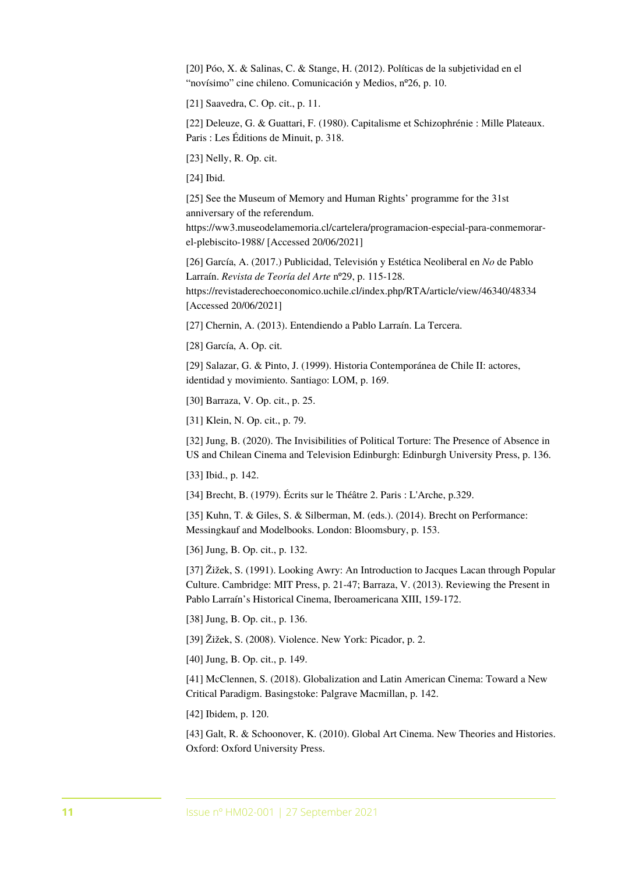[20] Póo, X. & Salinas, C. & Stange, H. (2012). Políticas de la subjetividad en el "novísimo" cine chileno. Comunicación y Medios, nº26, p. 10.

[21] Saavedra, C. Op. cit., p. 11.

[22] Deleuze, G. & Guattari, F. (1980). Capitalisme et Schizophrénie : Mille Plateaux. Paris : Les Éditions de Minuit, p. 318.

[23] Nelly, R. Op. cit.

[24] Ibid.

[25] See the Museum of Memory and Human Rights' programme for the 31st anniversary of the referendum.

[https://ww3.museodelamemoria.cl/cartelera/programacion-especial-para-conmemorar](https://ww3.museodelamemoria.cl/cartelera/programacion-especial-para-conmemorar-el-plebiscito-1988/)el-plebiscito-1988/ [Accessed 20/06/2021]

[26] García, A. (2017.) Publicidad, Televisión y Estética Neoliberal en *No* de Pablo Larraín. *Revista de Teoría del Arte* nº29, p. 115-128. <https://revistaderechoeconomico.uchile.cl/index.php/RTA/article/view/46340/48334> [Accessed 20/06/2021]

[27] Chernin, A. (2013). Entendiendo a Pablo Larraín. La Tercera.

[28] García, A. Op. cit.

[29] Salazar, G. & Pinto, J. (1999). Historia Contemporánea de Chile II: actores, identidad y movimiento. Santiago: LOM, p. 169.

[30] Barraza, V. Op. cit., p. 25.

[31] Klein, N. Op. cit., p. 79.

[32] Jung, B. (2020). The Invisibilities of Political Torture: The Presence of Absence in US and Chilean Cinema and Television Edinburgh: Edinburgh University Press, p. 136.

[33] Ibid., p. 142.

[34] Brecht, B. (1979). Écrits sur le Théâtre 2. Paris : L'Arche, p.329.

[35] Kuhn, T. & Giles, S. & Silberman, M. (eds.). (2014). Brecht on Performance: Messingkauf and Modelbooks. London: Bloomsbury, p. 153.

[36] Jung, B. Op. cit., p. 132.

[37] Žižek, S. (1991). Looking Awry: An Introduction to Jacques Lacan through Popular Culture. Cambridge: MIT Press, p. 21-47; Barraza, V. (2013). Reviewing the Present in Pablo Larraín's Historical Cinema, Iberoamericana XIII, 159-172.

[38] Jung, B. Op. cit., p. 136.

[39] Žižek, S. (2008). Violence. New York: Picador, p. 2.

[40] Jung, B. Op. cit., p. 149.

[41] McClennen, S. (2018). Globalization and Latin American Cinema: Toward a New Critical Paradigm. Basingstoke: Palgrave Macmillan, p. 142.

[42] Ibidem, p. 120.

[43] Galt, R. & Schoonover, K. (2010). Global Art Cinema. New Theories and Histories. Oxford: Oxford University Press.